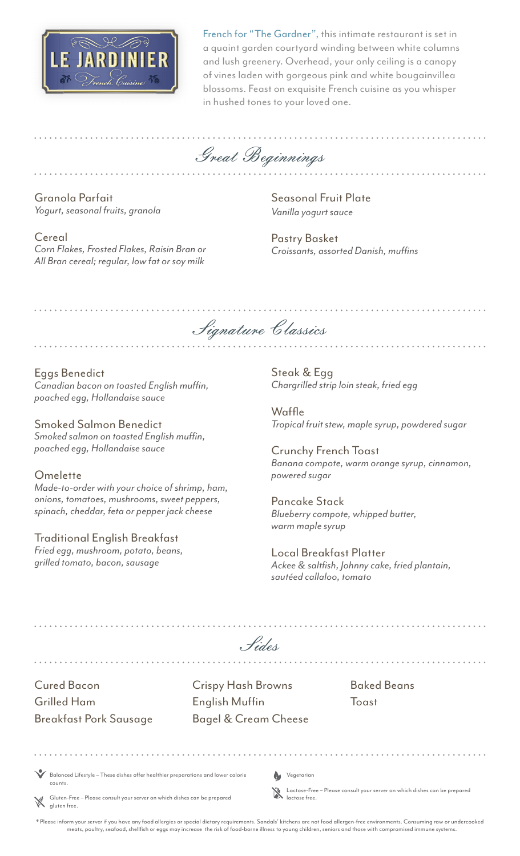

French for "The Gardner", this intimate restaurant is set in a quaint garden courtyard winding between white columns and lush greenery. Overhead, your only ceiling is a canopy of vines laden with gorgeous pink and white bougainvillea blossoms. Feast on exquisite French cuisine as you whisper in hushed tones to your loved one.

Great Beginnings

Granola Parfait *Yogurt, seasonal fruits, granola* 

Eggs Benedict

**Omelette** 

Seasonal Fruit Plate *Vanilla yogurt sauce*

Pastry Basket *Croissants, assorted Danish, muffins*

Cereal *Corn Flakes, Frosted Flakes, Raisin Bran or All Bran cereal; regular, low fat or soy milk*

*Canadian bacon on toasted English muffin,* 

*Smoked salmon on toasted English muffin,* 

*Made-to-order with your choice of shrimp, ham, onions, tomatoes, mushrooms, sweet peppers, spinach, cheddar, feta or pepper jack cheese*

*poached egg, Hollandaise sauce*

Smoked Salmon Benedict

*poached egg, Hollandaise sauce*

Traditional English Breakfast *Fried egg, mushroom, potato, beans,*

*grilled tomato, bacon, sausage*

Signature Classics

Steak & Egg *Chargrilled strip loin steak, fried egg* 

Waffle *Tropical fruit stew, maple syrup, powdered sugar*

Crunchy French Toast *Banana compote, warm orange syrup, cinnamon, powered sugar*

Pancake Stack *Blueberry compote, whipped butter, warm maple syrup*

Local Breakfast Platter *Ackee & saltfish, Johnny cake, fried plantain, sautéed callaloo, tomato*

| Hides                                                                                                                                                                                                   |  |                                                                                       |  |                            |                                                                           |
|---------------------------------------------------------------------------------------------------------------------------------------------------------------------------------------------------------|--|---------------------------------------------------------------------------------------|--|----------------------------|---------------------------------------------------------------------------|
| <b>Cured Bacon</b><br><b>Grilled Ham</b><br><b>Breakfast Pork Sausage</b>                                                                                                                               |  | <b>Crispy Hash Browns</b><br><b>English Muffin</b><br><b>Bagel &amp; Cream Cheese</b> |  |                            | <b>Baked Beans</b><br>Toast                                               |
| Balanced Lifestyle - These dishes offer healthier preparations and lower calorie<br>counts.<br>Sluten-Free – Please consult your server on which dishes can be prepared<br>aluten free.<br>aluten free. |  |                                                                                       |  | Vegetarian<br>Iactose free | Lactose-Free - Please consult your server on which dishes can be prepared |

.<br>Please inform your server if you have any food allergies or special dietary requirements. Sandals' kitchens are not food allergen-free environments. Consuming raw or undercooked meats, poultry, seafood, shellfish or eggs may increase the risk of food-borne illness to young children, seniors and those with compromised immune systems.